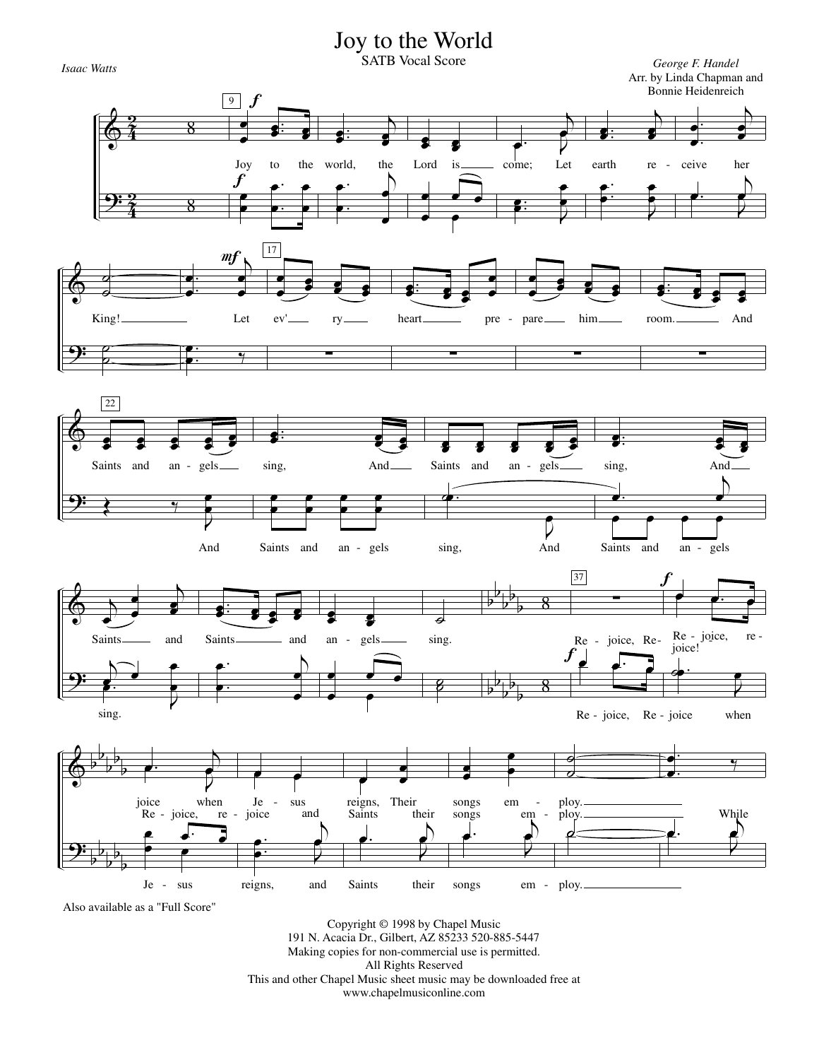## Joy to the World



Re - joice, Re - joice when



Also available as a "Full Score"

sing.

Copyright © 1998 by Chapel Music 191 N. Acacia Dr., Gilbert, AZ 85233 520-885-5447 Making copies for non-commercial use is permitted. All Rights Reserved This and other Chapel Music sheet music may be downloaded free at www.chapelmusiconline.com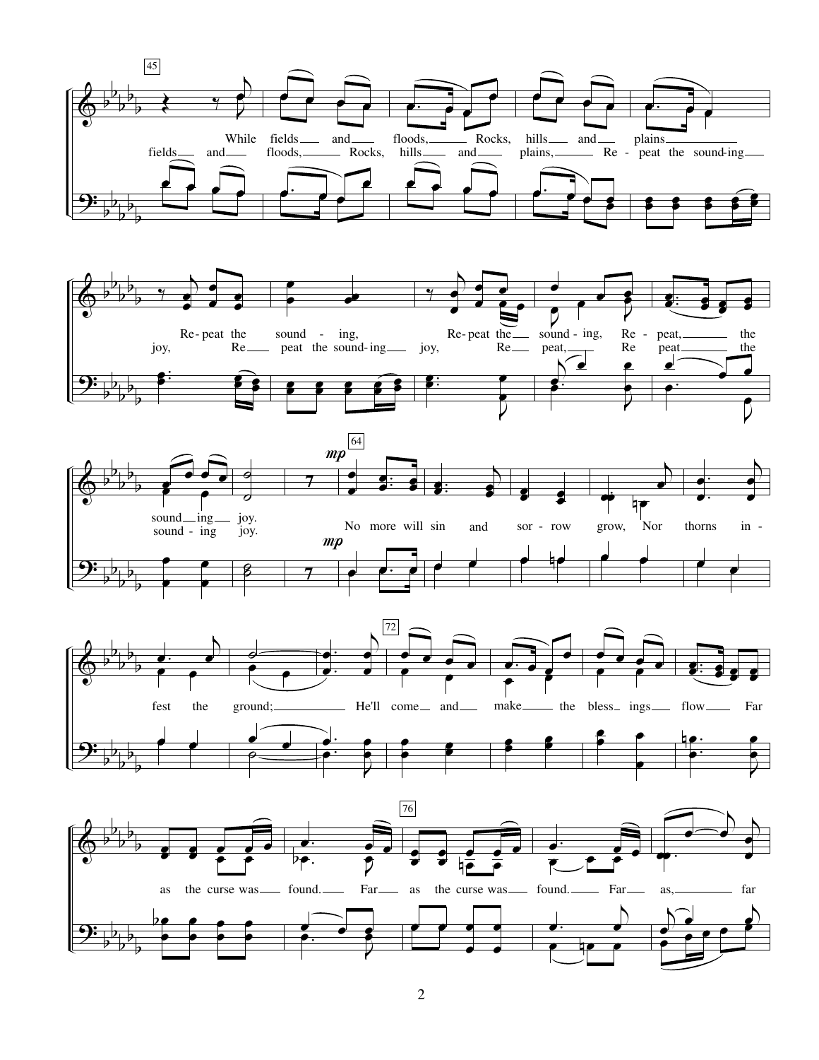